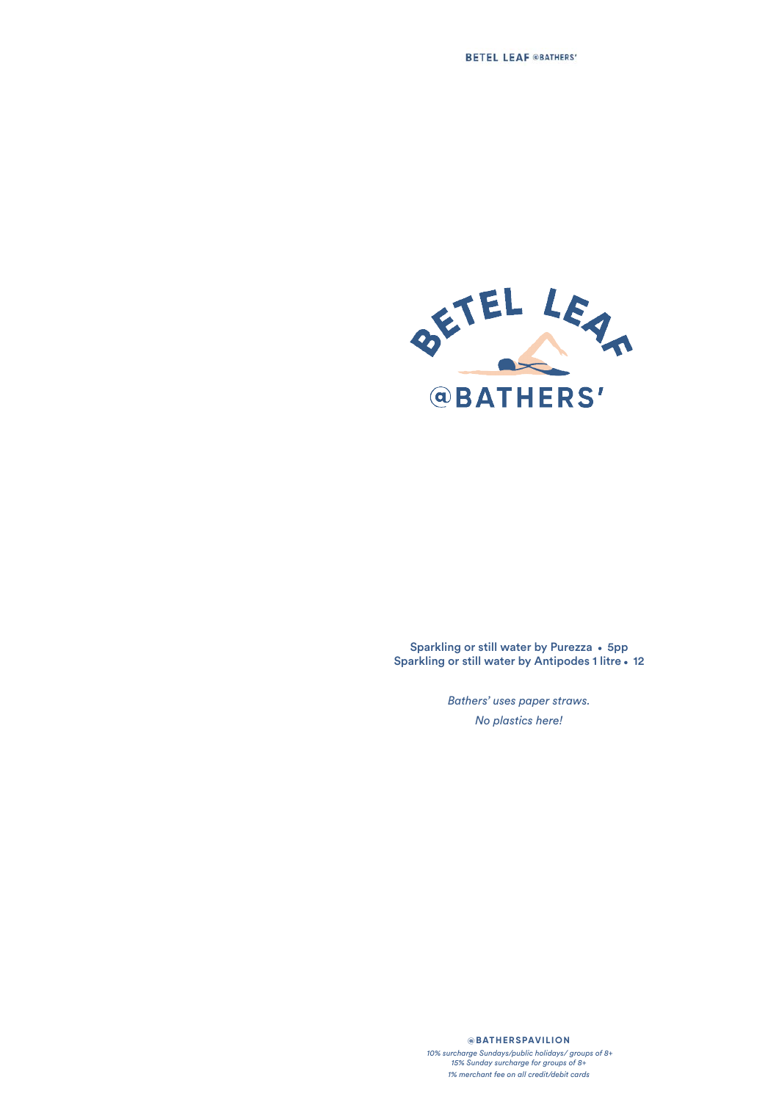

Sparkling or still water by Purezza • 5pp Sparkling or still water by Antipodes 1 litre . 12

> *Bathers' uses paper straws. No plastics here!*

> > **@BATHERSPAVILION**

 *10% surcharge Sundays/public holidays/ groups of 8+ 15% Sunday surcharge for groups of 8+ 1% merchant fee on all credit/debit cards*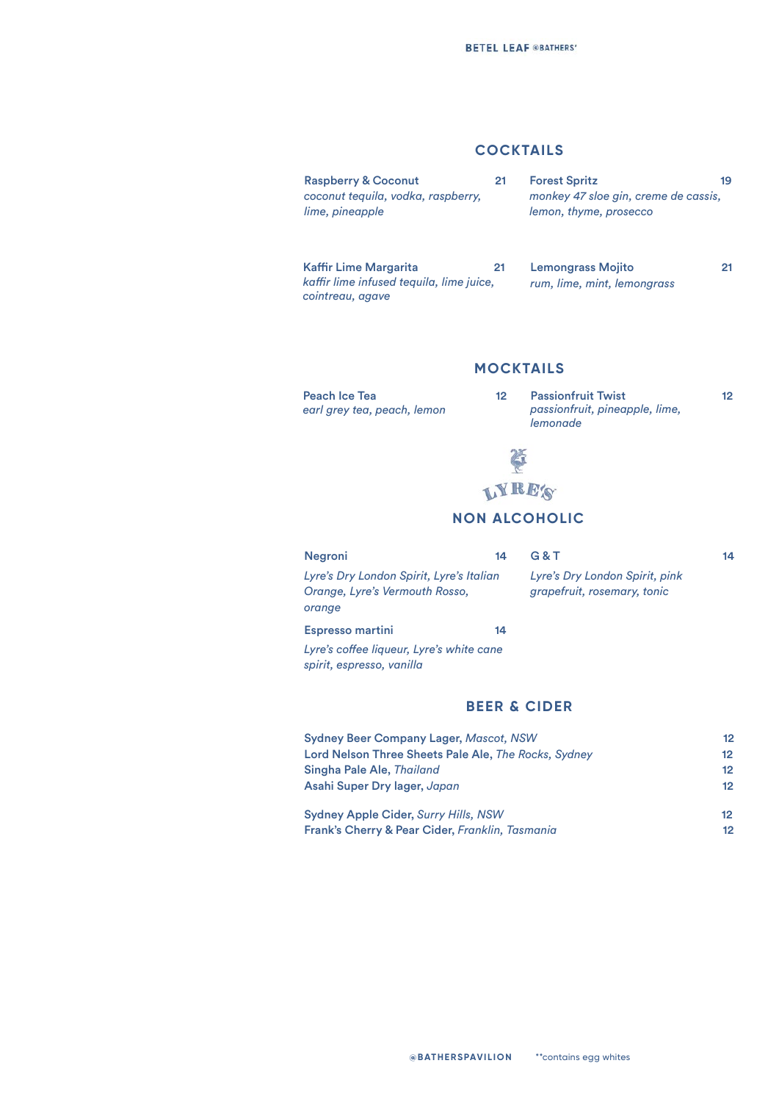## **COCKTAILS**

| <b>Raspberry &amp; Coconut</b><br>coconut tequila, vodka, raspberry,<br>lime, pineapple      | 21 | <b>Forest Spritz</b><br>monkey 47 sloe gin, creme de cassis,<br>lemon, thyme, prosecco | 19 |
|----------------------------------------------------------------------------------------------|----|----------------------------------------------------------------------------------------|----|
| <b>Kaffir Lime Margarita</b><br>kaffir lime infused tequila, lime juice,<br>cointreau, agave | 21 | <b>Lemongrass Mojito</b><br>rum, lime, mint, lemongrass                                |    |

### **MOCKTAILS**

Peach Ice Tea 12 *earl grey tea, peach, lemon*

Passionfruit Twist 12 *passionfruit, pineapple, lime, lemonade*



# **NON ALCOHOLIC**

| <b>Negroni</b>                                                                       | 14 | G & T                                                         | 14 |
|--------------------------------------------------------------------------------------|----|---------------------------------------------------------------|----|
| Lyre's Dry London Spirit, Lyre's Italian<br>Orange, Lyre's Vermouth Rosso,<br>orange |    | Lyre's Dry London Spirit, pink<br>grapefruit, rosemary, tonic |    |
| <b>Espresso martini</b>                                                              | 14 |                                                               |    |
| Lyre's coffee liqueur, Lyre's white cane<br>spirit, espresso, vanilla                |    |                                                               |    |

### **BEER & CIDER**

| <b>Sydney Beer Company Lager, Mascot, NSW</b>        | 12                |
|------------------------------------------------------|-------------------|
| Lord Nelson Three Sheets Pale Ale, The Rocks, Sydney | 12                |
| Singha Pale Ale, Thailand                            | $12 \overline{ }$ |
| Asahi Super Dry lager, Japan                         | $12 \overline{ }$ |
| <b>Sydney Apple Cider, Surry Hills, NSW</b>          | 12                |
| Frank's Cherry & Pear Cider, Franklin, Tasmania      | 12                |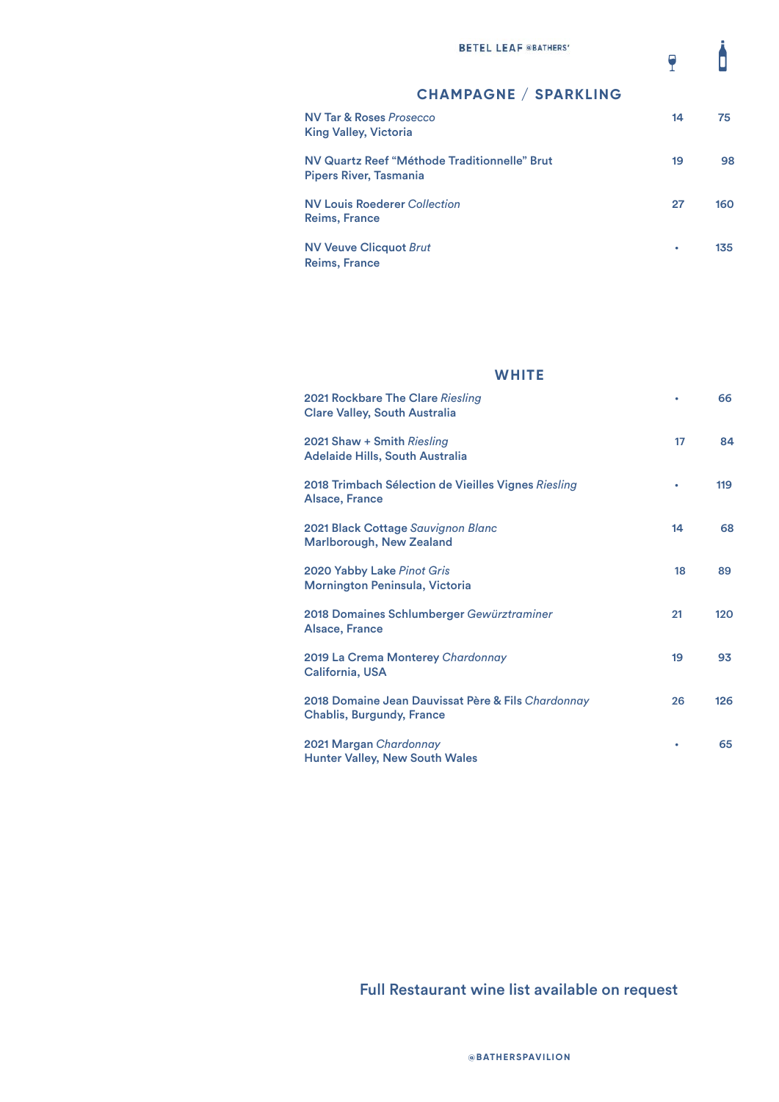$\overline{\bullet}$ 

# NV Tar & Roses *Prosecco* 14 75 King Valley, Victoria NV Quartz Reef "Méthode Traditionnelle" Brut 19 19 98 Pipers River, Tasmania NV Louis Roederer *Collection* 27 160 Reims, France NV Veuve Clicquot *Brut* • 135 Reims, France **CHAMPAGNE / SPARKLING**

# **WHITE** 2021 Rockbare The Clare *Riesling* • 66 Clare Valley, South Australia 2021 Shaw + Smith *Riesling* 17 84 Adelaide Hills, South Australia 2018 Trimbach Sélection de Vieilles Vignes *Riesling* • 119 Alsace, France 2021 Black Cottage *Sauvignon Blanc* 14 68 Marlborough, New Zealand 2020 Yabby Lake *Pinot Gris* 18 89 Mornington Peninsula, Victoria 2018 Domaines Schlumberger *Gewürztraminer* 21 120 Alsace, France 2019 La Crema Monterey *Chardonnay* 19 93 California, USA 2018 Domaine Jean Dauvissat Père & Fils *Chardonnay* 26 126 Chablis, Burgundy, France 2021 Margan *Chardonnay* •65 Hunter Valley, New South Wales

## Full Restaurant wine list available on request

**@BATHERSPAVILION**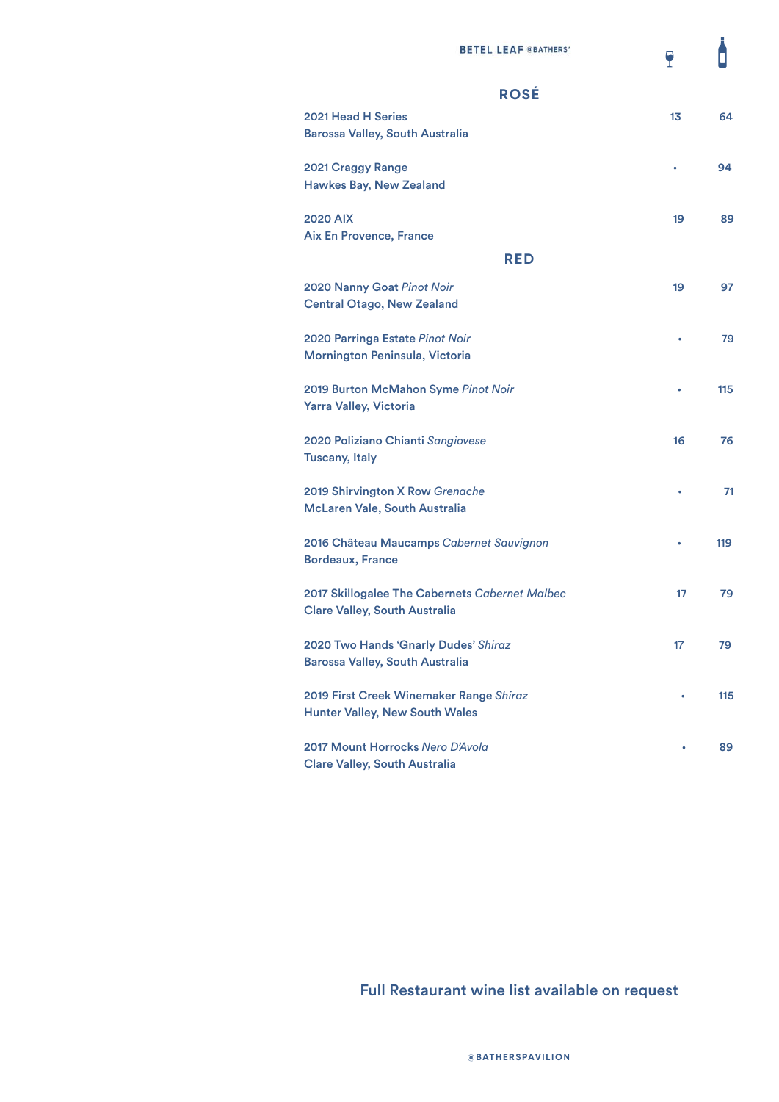Ô

 $\overline{P}$ 

| <b>ROSÉ</b>                                                                            |    |     |
|----------------------------------------------------------------------------------------|----|-----|
| <b>2021 Head H Series</b><br><b>Barossa Valley, South Australia</b>                    | 13 | 64  |
| <b>2021 Craggy Range</b><br><b>Hawkes Bay, New Zealand</b>                             |    | 94  |
| <b>2020 AIX</b><br><b>Aix En Provence, France</b>                                      | 19 | 89  |
| <b>RED</b>                                                                             |    |     |
| 2020 Nanny Goat Pinot Noir<br><b>Central Otago, New Zealand</b>                        | 19 | 97  |
| 2020 Parringa Estate Pinot Noir<br>Mornington Peninsula, Victoria                      |    | 79  |
| 2019 Burton McMahon Syme Pinot Noir<br>Yarra Valley, Victoria                          |    | 115 |
| 2020 Poliziano Chianti Sangiovese<br><b>Tuscany, Italy</b>                             | 16 | 76  |
| 2019 Shirvington X Row Grenache<br>McLaren Vale, South Australia                       |    | 71  |
| 2016 Château Maucamps Cabernet Sauvignon<br><b>Bordeaux, France</b>                    |    | 119 |
| 2017 Skillogalee The Cabernets Cabernet Malbec<br><b>Clare Valley, South Australia</b> | 17 | 79  |
| 2020 Two Hands 'Gnarly Dudes' Shiraz<br><b>Barossa Valley, South Australia</b>         | 17 | 79  |
| 2019 First Creek Winemaker Range Shiraz<br><b>Hunter Valley, New South Wales</b>       |    | 115 |
| 2017 Mount Horrocks Nero D'Avola<br><b>Clare Valley, South Australia</b>               |    | 89  |

Full Restaurant wine list available on request